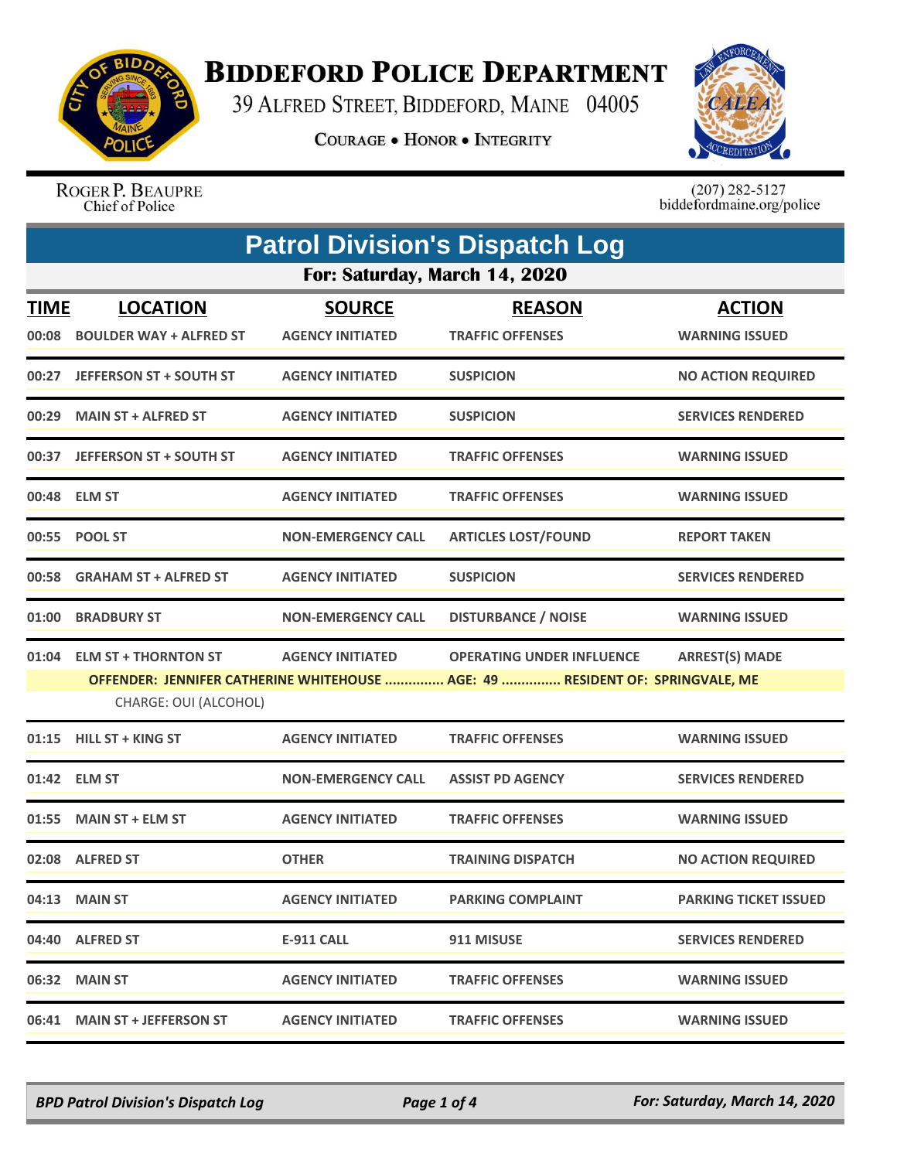

## **BIDDEFORD POLICE DEPARTMENT**

39 ALFRED STREET, BIDDEFORD, MAINE 04005

**COURAGE . HONOR . INTEGRITY** 



ROGER P. BEAUPRE<br>Chief of Police

 $(207)$  282-5127<br>biddefordmaine.org/police

| <b>Patrol Division's Dispatch Log</b> |                                                     |                                          |                                                                                                                   |                                        |  |
|---------------------------------------|-----------------------------------------------------|------------------------------------------|-------------------------------------------------------------------------------------------------------------------|----------------------------------------|--|
| For: Saturday, March 14, 2020         |                                                     |                                          |                                                                                                                   |                                        |  |
| <b>TIME</b><br>00:08                  | <b>LOCATION</b><br><b>BOULDER WAY + ALFRED ST</b>   | <b>SOURCE</b><br><b>AGENCY INITIATED</b> | <b>REASON</b><br><b>TRAFFIC OFFENSES</b>                                                                          | <b>ACTION</b><br><b>WARNING ISSUED</b> |  |
| 00:27                                 | <b>JEFFERSON ST + SOUTH ST</b>                      | <b>AGENCY INITIATED</b>                  | <b>SUSPICION</b>                                                                                                  | <b>NO ACTION REQUIRED</b>              |  |
| 00:29                                 | <b>MAIN ST + ALFRED ST</b>                          | <b>AGENCY INITIATED</b>                  | <b>SUSPICION</b>                                                                                                  | <b>SERVICES RENDERED</b>               |  |
| 00:37                                 | <b>JEFFERSON ST + SOUTH ST</b>                      | <b>AGENCY INITIATED</b>                  | <b>TRAFFIC OFFENSES</b>                                                                                           | <b>WARNING ISSUED</b>                  |  |
|                                       | 00:48 ELM ST                                        | <b>AGENCY INITIATED</b>                  | <b>TRAFFIC OFFENSES</b>                                                                                           | <b>WARNING ISSUED</b>                  |  |
|                                       | 00:55 POOL ST                                       | <b>NON-EMERGENCY CALL</b>                | <b>ARTICLES LOST/FOUND</b>                                                                                        | <b>REPORT TAKEN</b>                    |  |
| 00:58                                 | <b>GRAHAM ST + ALFRED ST</b>                        | <b>AGENCY INITIATED</b>                  | <b>SUSPICION</b>                                                                                                  | <b>SERVICES RENDERED</b>               |  |
| 01:00                                 | <b>BRADBURY ST</b>                                  | <b>NON-EMERGENCY CALL</b>                | <b>DISTURBANCE / NOISE</b>                                                                                        | <b>WARNING ISSUED</b>                  |  |
|                                       | 01:04 ELM ST + THORNTON ST<br>CHARGE: OUI (ALCOHOL) | <b>AGENCY INITIATED</b>                  | <b>OPERATING UNDER INFLUENCE</b><br>OFFENDER: JENNIFER CATHERINE WHITEHOUSE  AGE: 49  RESIDENT OF: SPRINGVALE, ME | <b>ARREST(S) MADE</b>                  |  |
| 01:15                                 | <b>HILL ST + KING ST</b>                            | <b>AGENCY INITIATED</b>                  | <b>TRAFFIC OFFENSES</b>                                                                                           | <b>WARNING ISSUED</b>                  |  |
|                                       | 01:42 ELM ST                                        | <b>NON-EMERGENCY CALL</b>                | <b>ASSIST PD AGENCY</b>                                                                                           | <b>SERVICES RENDERED</b>               |  |
| 01:55                                 | <b>MAIN ST + ELM ST</b>                             | <b>AGENCY INITIATED</b>                  | <b>TRAFFIC OFFENSES</b>                                                                                           | <b>WARNING ISSUED</b>                  |  |
| 02:08                                 | <b>ALFRED ST</b>                                    | <b>OTHER</b>                             | <b>TRAINING DISPATCH</b>                                                                                          | <b>NO ACTION REQUIRED</b>              |  |
|                                       | 04:13 MAIN ST                                       | <b>AGENCY INITIATED</b>                  | <b>PARKING COMPLAINT</b>                                                                                          | <b>PARKING TICKET ISSUED</b>           |  |
|                                       | 04:40 ALFRED ST                                     | E-911 CALL                               | 911 MISUSE                                                                                                        | <b>SERVICES RENDERED</b>               |  |
|                                       | 06:32 MAIN ST                                       | <b>AGENCY INITIATED</b>                  | <b>TRAFFIC OFFENSES</b>                                                                                           | <b>WARNING ISSUED</b>                  |  |
|                                       | 06:41 MAIN ST + JEFFERSON ST                        | <b>AGENCY INITIATED</b>                  | <b>TRAFFIC OFFENSES</b>                                                                                           | <b>WARNING ISSUED</b>                  |  |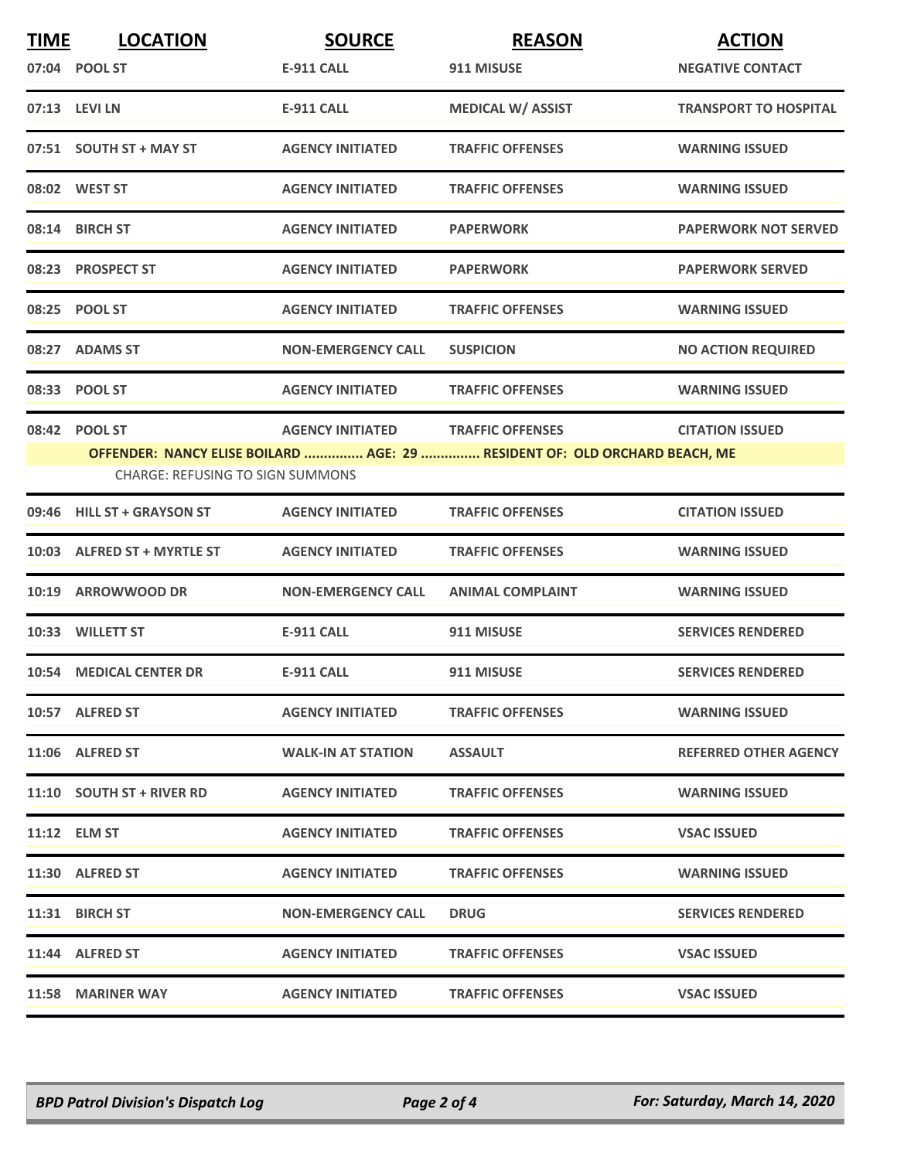| <u>TIME</u> | <b>LOCATION</b>                         | <b>SOURCE</b>             | <b>REASON</b>                                                              | <b>ACTION</b>                |
|-------------|-----------------------------------------|---------------------------|----------------------------------------------------------------------------|------------------------------|
|             | 07:04 POOL ST                           | E-911 CALL                | 911 MISUSE                                                                 | <b>NEGATIVE CONTACT</b>      |
|             | 07:13 LEVI LN                           | <b>E-911 CALL</b>         | <b>MEDICAL W/ ASSIST</b>                                                   | <b>TRANSPORT TO HOSPITAL</b> |
|             | 07:51 SOUTH ST + MAY ST                 | <b>AGENCY INITIATED</b>   | <b>TRAFFIC OFFENSES</b>                                                    | <b>WARNING ISSUED</b>        |
|             | 08:02 WEST ST                           | <b>AGENCY INITIATED</b>   | <b>TRAFFIC OFFENSES</b>                                                    | <b>WARNING ISSUED</b>        |
|             | 08:14 BIRCH ST                          | <b>AGENCY INITIATED</b>   | <b>PAPERWORK</b>                                                           | <b>PAPERWORK NOT SERVED</b>  |
|             | 08:23 PROSPECT ST                       | <b>AGENCY INITIATED</b>   | <b>PAPERWORK</b>                                                           | <b>PAPERWORK SERVED</b>      |
|             | 08:25 POOL ST                           | <b>AGENCY INITIATED</b>   | <b>TRAFFIC OFFENSES</b>                                                    | <b>WARNING ISSUED</b>        |
|             | 08:27 ADAMS ST                          | <b>NON-EMERGENCY CALL</b> | <b>SUSPICION</b>                                                           | <b>NO ACTION REQUIRED</b>    |
|             | 08:33 POOL ST                           | <b>AGENCY INITIATED</b>   | <b>TRAFFIC OFFENSES</b>                                                    | <b>WARNING ISSUED</b>        |
|             | 08:42 POOL ST                           | <b>AGENCY INITIATED</b>   | <b>TRAFFIC OFFENSES</b>                                                    | <b>CITATION ISSUED</b>       |
|             | <b>CHARGE: REFUSING TO SIGN SUMMONS</b> |                           | OFFENDER: NANCY ELISE BOILARD  AGE: 29  RESIDENT OF: OLD ORCHARD BEACH, ME |                              |
|             |                                         |                           |                                                                            |                              |
|             | 09:46 HILL ST + GRAYSON ST              | <b>AGENCY INITIATED</b>   | <b>TRAFFIC OFFENSES</b>                                                    | <b>CITATION ISSUED</b>       |
|             | 10:03 ALFRED ST + MYRTLE ST             | <b>AGENCY INITIATED</b>   | <b>TRAFFIC OFFENSES</b>                                                    | <b>WARNING ISSUED</b>        |
|             | 10:19 ARROWWOOD DR                      | <b>NON-EMERGENCY CALL</b> | <b>ANIMAL COMPLAINT</b>                                                    | <b>WARNING ISSUED</b>        |
|             | 10:33 WILLETT ST                        | <b>E-911 CALL</b>         | 911 MISUSE                                                                 | <b>SERVICES RENDERED</b>     |
|             | 10:54 MEDICAL CENTER DR                 | <b>E-911 CALL</b>         | 911 MISUSE                                                                 | <b>SERVICES RENDERED</b>     |
|             | 10:57 ALFRED ST                         | <b>AGENCY INITIATED</b>   | <b>TRAFFIC OFFENSES</b>                                                    | <b>WARNING ISSUED</b>        |
|             | 11:06 ALFRED ST                         | <b>WALK-IN AT STATION</b> | <b>ASSAULT</b>                                                             | REFERRED OTHER AGENCY        |
|             | 11:10 SOUTH ST + RIVER RD               | <b>AGENCY INITIATED</b>   | <b>TRAFFIC OFFENSES</b>                                                    | <b>WARNING ISSUED</b>        |
|             | 11:12 ELM ST                            | <b>AGENCY INITIATED</b>   | <b>TRAFFIC OFFENSES</b>                                                    | <b>VSAC ISSUED</b>           |
|             | 11:30 ALFRED ST                         | <b>AGENCY INITIATED</b>   | <b>TRAFFIC OFFENSES</b>                                                    | <b>WARNING ISSUED</b>        |
|             | 11:31 BIRCH ST                          | <b>NON-EMERGENCY CALL</b> | <b>DRUG</b>                                                                | <b>SERVICES RENDERED</b>     |
|             | 11:44 ALFRED ST                         | <b>AGENCY INITIATED</b>   | <b>TRAFFIC OFFENSES</b>                                                    | <b>VSAC ISSUED</b>           |
|             | 11:58 MARINER WAY                       | <b>AGENCY INITIATED</b>   | <b>TRAFFIC OFFENSES</b>                                                    | <b>VSAC ISSUED</b>           |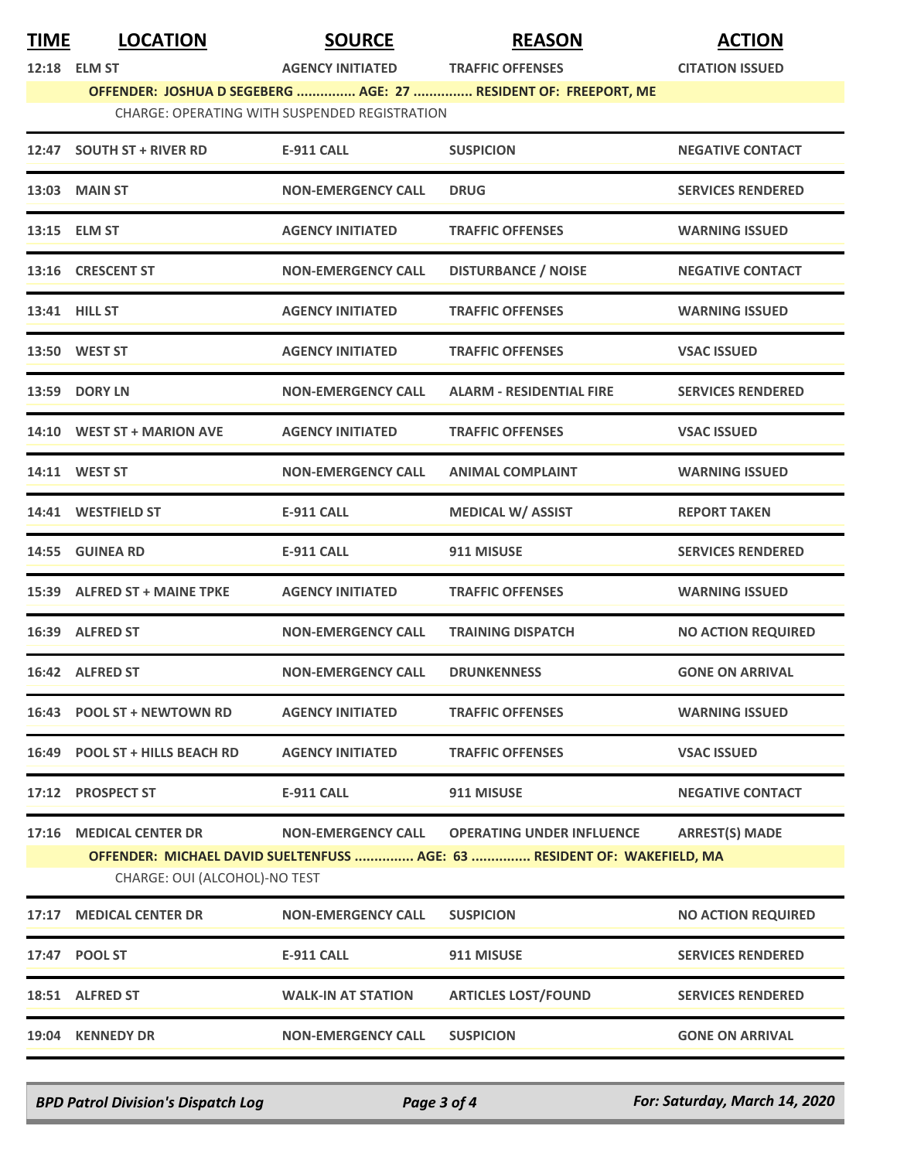| <b>TIME</b> | <b>LOCATION</b>                                           | <b>SOURCE</b>                                        | <b>REASON</b>                                                                                                | <b>ACTION</b>             |
|-------------|-----------------------------------------------------------|------------------------------------------------------|--------------------------------------------------------------------------------------------------------------|---------------------------|
|             | 12:18 ELM ST                                              | <b>AGENCY INITIATED</b>                              | <b>TRAFFIC OFFENSES</b><br>OFFENDER: JOSHUA D SEGEBERG  AGE: 27  RESIDENT OF: FREEPORT, ME                   | <b>CITATION ISSUED</b>    |
|             |                                                           | <b>CHARGE: OPERATING WITH SUSPENDED REGISTRATION</b> |                                                                                                              |                           |
|             | 12:47 SOUTH ST + RIVER RD                                 | E-911 CALL                                           | <b>SUSPICION</b>                                                                                             | <b>NEGATIVE CONTACT</b>   |
|             | 13:03 MAIN ST                                             | <b>NON-EMERGENCY CALL</b>                            | <b>DRUG</b>                                                                                                  | <b>SERVICES RENDERED</b>  |
|             | 13:15 ELM ST                                              | <b>AGENCY INITIATED</b>                              | <b>TRAFFIC OFFENSES</b>                                                                                      | <b>WARNING ISSUED</b>     |
|             | 13:16 CRESCENT ST                                         | <b>NON-EMERGENCY CALL</b>                            | <b>DISTURBANCE / NOISE</b>                                                                                   | <b>NEGATIVE CONTACT</b>   |
|             | 13:41 HILL ST                                             | <b>AGENCY INITIATED</b>                              | <b>TRAFFIC OFFENSES</b>                                                                                      | <b>WARNING ISSUED</b>     |
|             | 13:50 WEST ST                                             | <b>AGENCY INITIATED</b>                              | <b>TRAFFIC OFFENSES</b>                                                                                      | <b>VSAC ISSUED</b>        |
|             | 13:59 DORY LN                                             | <b>NON-EMERGENCY CALL</b>                            | <b>ALARM - RESIDENTIAL FIRE</b>                                                                              | <b>SERVICES RENDERED</b>  |
|             | 14:10 WEST ST + MARION AVE                                | <b>AGENCY INITIATED</b>                              | <b>TRAFFIC OFFENSES</b>                                                                                      | <b>VSAC ISSUED</b>        |
|             | 14:11 WEST ST                                             | <b>NON-EMERGENCY CALL</b>                            | <b>ANIMAL COMPLAINT</b>                                                                                      | <b>WARNING ISSUED</b>     |
|             | 14:41 WESTFIELD ST                                        | <b>E-911 CALL</b>                                    | <b>MEDICAL W/ ASSIST</b>                                                                                     | <b>REPORT TAKEN</b>       |
|             | 14:55 GUINEA RD                                           | <b>E-911 CALL</b>                                    | 911 MISUSE                                                                                                   | <b>SERVICES RENDERED</b>  |
|             | 15:39 ALFRED ST + MAINE TPKE                              | <b>AGENCY INITIATED</b>                              | <b>TRAFFIC OFFENSES</b>                                                                                      | <b>WARNING ISSUED</b>     |
|             | 16:39 ALFRED ST                                           | <b>NON-EMERGENCY CALL</b>                            | <b>TRAINING DISPATCH</b>                                                                                     | <b>NO ACTION REQUIRED</b> |
|             | 16:42 ALFRED ST                                           | <b>NON-EMERGENCY CALL</b>                            | <b>DRUNKENNESS</b>                                                                                           | <b>GONE ON ARRIVAL</b>    |
|             | 16:43 POOL ST + NEWTOWN RD                                | <b>AGENCY INITIATED</b>                              | <b>TRAFFIC OFFENSES</b>                                                                                      | <b>WARNING ISSUED</b>     |
|             | 16:49 POOL ST + HILLS BEACH RD                            | <b>AGENCY INITIATED</b>                              | <b>TRAFFIC OFFENSES</b>                                                                                      | <b>VSAC ISSUED</b>        |
|             | 17:12 PROSPECT ST                                         | E-911 CALL                                           | 911 MISUSE                                                                                                   | <b>NEGATIVE CONTACT</b>   |
| 17:16       | <b>MEDICAL CENTER DR</b><br>CHARGE: OUI (ALCOHOL)-NO TEST | <b>NON-EMERGENCY CALL</b>                            | <b>OPERATING UNDER INFLUENCE</b><br>OFFENDER: MICHAEL DAVID SUELTENFUSS  AGE: 63  RESIDENT OF: WAKEFIELD, MA | <b>ARREST(S) MADE</b>     |
| 17:17       | <b>MEDICAL CENTER DR</b>                                  | <b>NON-EMERGENCY CALL</b>                            | <b>SUSPICION</b>                                                                                             | <b>NO ACTION REQUIRED</b> |
|             | 17:47 POOL ST                                             | <b>E-911 CALL</b>                                    | 911 MISUSE                                                                                                   | <b>SERVICES RENDERED</b>  |
|             | 18:51 ALFRED ST                                           | <b>WALK-IN AT STATION</b>                            | <b>ARTICLES LOST/FOUND</b>                                                                                   | <b>SERVICES RENDERED</b>  |
| 19:04       | <b>KENNEDY DR</b>                                         | <b>NON-EMERGENCY CALL</b>                            | <b>SUSPICION</b>                                                                                             | <b>GONE ON ARRIVAL</b>    |
|             |                                                           |                                                      |                                                                                                              |                           |

*BPD Patrol Division's Dispatch Log Page 3 of 4 For: Saturday, March 14, 2020*